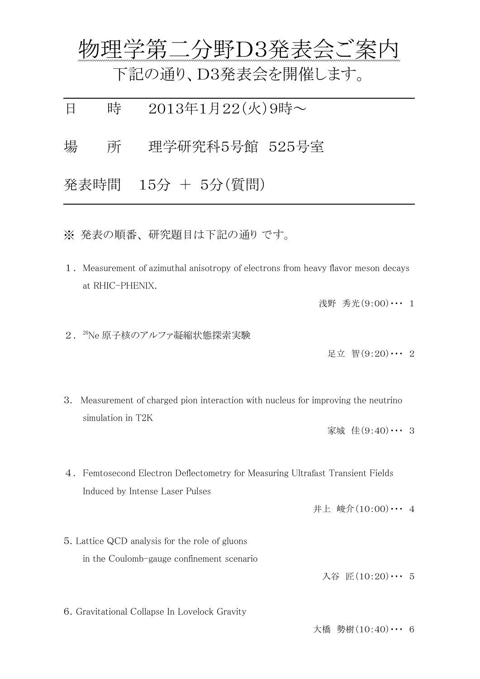|   |      | 物理学第二分野D3発表会ご案内                                      |
|---|------|------------------------------------------------------|
|   |      | 下記の通り、D3発表会を開催します。                                   |
| 日 | 時    | $2013 \text{#}1 \text{H}22(\text{K})9 \text{H} \sim$ |
| 場 | 所    | 理学研究科5号館 525号室                                       |
|   | 発表時間 | 15分 + 5分(質問)                                         |
|   |      |                                                      |

※ 発表の順番、 研究題目は下記の通り です。

1.Measurement of azimuthal anisotropy of electrons from heavy flavor meson decays at RHIC-PHENIX.

浅野 秀光(9:00)… 1

2. <sup>20</sup>Ne 原子核のアルファ凝縮状態探索実験

足立 智(9:20)・・・ 2

3. Measurement of charged pion interaction with nucleus for improving the neutrino simulation in T2K

家城 佳(9:40)・・・ 3

4. Femtosecond Electron Deflectometry for Measuring Ultrafast Transient Fields Induced by Intense Laser Pulses

井上 峻介(10:00)・・・ 4

5.Lattice QCD analysis for the role of gluons in the Coulomb-gauge confinement scenario

入谷 匠(10:20)・・・ 5

6.Gravitational Collapse In Lovelock Gravity

大橋 勢樹 $(10:40)$  … 6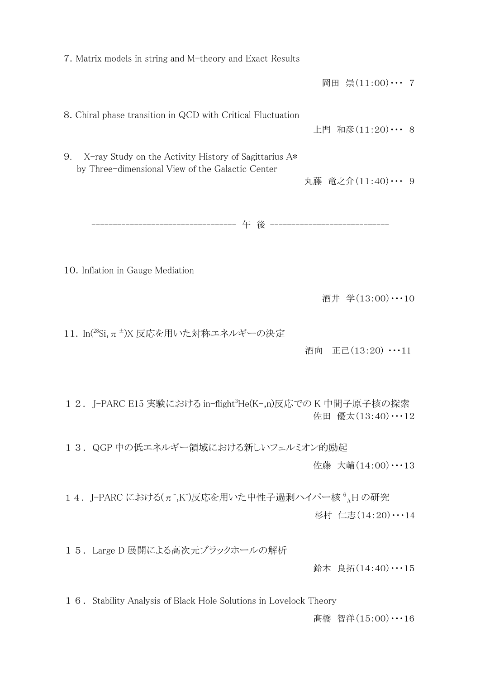| 7. Matrix models in string and M-theory and Exact Results                                                       |                        |
|-----------------------------------------------------------------------------------------------------------------|------------------------|
|                                                                                                                 | 岡田 崇(11:00)… 7         |
| 8. Chiral phase transition in QCD with Critical Fluctuation                                                     | 上門 和彦(11:20)… 8        |
| X-ray Study on the Activity History of Sagittarius A*<br>9.<br>by Three-dimensional View of the Galactic Center | 丸藤 竜之介(11:40)… 9       |
|                                                                                                                 |                        |
| 10. Inflation in Gauge Mediation                                                                                |                        |
|                                                                                                                 | 酒井 学(13:00)…10         |
| 11. In(28Si, $\pi^{\pm}$ )X 反応を用いた対称エネルギーの決定                                                                    | 正己 $(13:20)$ …11<br>酒向 |
| 12. J-PARC E15 実験における in-flight3He(K-,n)反応でのK中間子原子核の探索                                                          | 佐田 優太(13:40)・・・12      |
| 13. QGP 中の低エネルギー領域における新しいフェルミオン的励起                                                                              |                        |
|                                                                                                                 | 佐藤 大輔(14:00)…13        |
| 14. J-PARC における( $\pi$ <sup>-</sup> ,K <sup>+</sup> )反応を用いた中性子過剰ハイパー核 <sup>6</sup> <sub>A</sub> H の研究           | 杉村 仁志(14:20)…14        |
| 15. Large D 展開による高次元ブラックホールの解析                                                                                  | 鈴木 良拓(14:40)…15        |
| 1 6. Stability Analysis of Black Hole Solutions in Lovelock Theory                                              |                        |

髙橋 智洋(15:00)・・・16